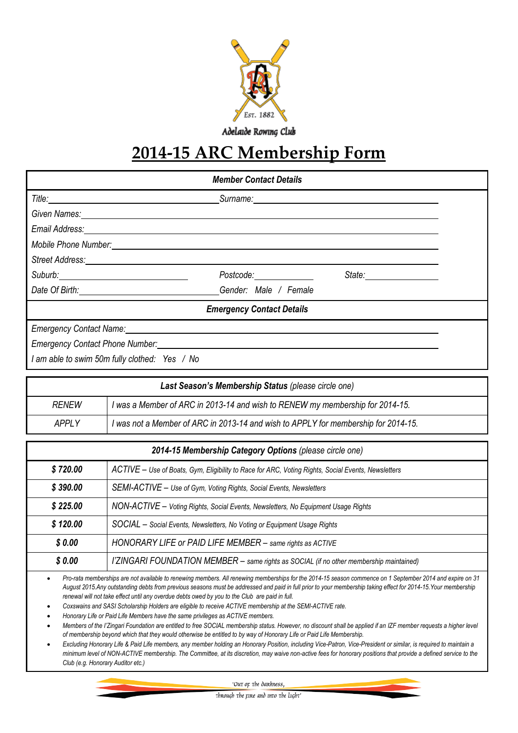

Adelaide Rowing Club

# **2014-15 ARC Membership Form**

|                                                                                                                | <b>Member Contact Details</b>                                                                                                                                                                                                        |  |
|----------------------------------------------------------------------------------------------------------------|--------------------------------------------------------------------------------------------------------------------------------------------------------------------------------------------------------------------------------------|--|
|                                                                                                                | Surname: <u>with the contract of the contract of the contract of the contract of the contract of the contract of the contract of the contract of the contract of the contract of the contract of the contract of the contract of</u> |  |
| Given Names: Communication of the Communication of the Communication of the Communication of the Communication |                                                                                                                                                                                                                                      |  |
|                                                                                                                |                                                                                                                                                                                                                                      |  |
|                                                                                                                |                                                                                                                                                                                                                                      |  |
|                                                                                                                |                                                                                                                                                                                                                                      |  |
| Suburb: 2008                                                                                                   | Postcode:______________                                                                                                                                                                                                              |  |
|                                                                                                                | Gender: Male / Female                                                                                                                                                                                                                |  |
|                                                                                                                | <b>Emergency Contact Details</b>                                                                                                                                                                                                     |  |
| Emergency Contact Name: Cambridge Contact Name:                                                                |                                                                                                                                                                                                                                      |  |
| Emergency Contact Phone Number:                                                                                |                                                                                                                                                                                                                                      |  |

*I am able to swim 50m fully clothed: Yes / No*

|              | Last Season's Membership Status (please circle one)                                |
|--------------|------------------------------------------------------------------------------------|
| <b>RENEW</b> | I was a Member of ARC in 2013-14 and wish to RENEW my membership for 2014-15.      |
| <b>APPLY</b> | I was not a Member of ARC in 2013-14 and wish to APPLY for membership for 2014-15. |

| 2014-15 Membership Category Options (please circle one) |                                                                                                    |
|---------------------------------------------------------|----------------------------------------------------------------------------------------------------|
| \$720.00                                                | ACTIVE - Use of Boats, Gym, Eligibility to Race for ARC, Voting Rights, Social Events, Newsletters |
| \$390.00                                                | SEMI-ACTIVE - Use of Gym, Voting Rights, Social Events, Newsletters                                |
| \$225.00                                                | NON-ACTIVE - Voting Rights, Social Events, Newsletters, No Equipment Usage Rights                  |
| \$120.00                                                | SOCIAL - Social Events, Newsletters, No Voting or Equipment Usage Rights                           |
| \$0.00                                                  | HONORARY LIFE or PAID LIFE MEMBER - same rights as ACTIVE                                          |
| \$0.00                                                  | l'ZINGARI FOUNDATION MEMBER - same rights as SOCIAL (if no other membership maintained)            |

 *Pro-rata memberships are not available to renewing members. All renewing memberships for the 2014-15 season commence on 1 September 2014 and expire on 31 August 2015.Any outstanding debts from previous seasons must be addressed and paid in full prior to your membership taking effect for 2014-15.Your membership renewal will not take effect until any overdue debts owed by you to the Club are paid in full.*

*Coxswains and SASI Scholarship Holders are eligible to receive ACTIVE membership at the SEMI-ACTIVE rate.*

*Honorary Life or Paid Life Members have the same privileges as ACTIVE members.*

*Members of the l'Zingari Foundation are entitled to free SOCIAL membership status. However, no discount shall be applied if an IZF member requests a higher level of membership beyond which that they would otherwise be entitled to by way of Honorary Life or Paid Life Membership.*

 *Excluding Honorary Life & Paid Life members, any member holding an Honorary Position, including Vice-Patron, Vice-President or similar, is required to maintain a minimum level of NON-ACTIVE membership. The Committee, at its discretion, may waive non-active fees for honorary positions that provide a defined service to the Club (e.g. Honorary Auditor etc.)*

'Out op the dankness,

Through the rire and into the light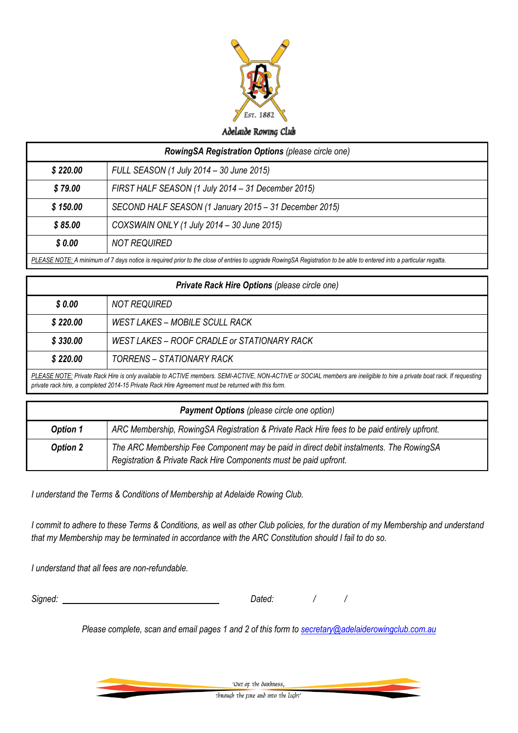

| <b>RowingSA Registration Options (please circle one)</b> |                                                                                                                                                                      |
|----------------------------------------------------------|----------------------------------------------------------------------------------------------------------------------------------------------------------------------|
| \$220.00                                                 | FULL SEASON (1 July 2014 – 30 June 2015)                                                                                                                             |
| \$79.00                                                  | FIRST HALF SEASON (1 July 2014 – 31 December 2015)                                                                                                                   |
| \$150.00                                                 | SECOND HALF SEASON (1 January 2015 - 31 December 2015)                                                                                                               |
| \$85.00                                                  | COXSWAIN ONLY (1 July 2014 - 30 June 2015)                                                                                                                           |
| \$0.00                                                   | <b>NOT REQUIRED</b>                                                                                                                                                  |
|                                                          | DLEASE NOTE: A minimum of 7 days potico is required prior to the close of entries to uparade PeuringSA Peqistration to be able to entered into a particular regattor |

| PLEASE NOTE: A minimum of 7 days notice is required prior to the close of entries to upgrade RowingSA Registration to be able to entered into a particular regatta. |
|---------------------------------------------------------------------------------------------------------------------------------------------------------------------|
|---------------------------------------------------------------------------------------------------------------------------------------------------------------------|

| <b>Private Rack Hire Options (please circle one)</b> |                                                                                                                                                                                                                                                                                |
|------------------------------------------------------|--------------------------------------------------------------------------------------------------------------------------------------------------------------------------------------------------------------------------------------------------------------------------------|
| \$0.00                                               | NOT REQUIRED                                                                                                                                                                                                                                                                   |
| \$220.00                                             | WEST LAKES – MOBILE SCULL RACK                                                                                                                                                                                                                                                 |
| \$330.00                                             | WEST LAKES – ROOF CRADLE or STATIONARY RACK                                                                                                                                                                                                                                    |
| \$220.00                                             | <b>TORRENS - STATIONARY RACK</b>                                                                                                                                                                                                                                               |
|                                                      | PLEASE NOTE: Private Rack Hire is only available to ACTIVE members. SEMI-ACTIVE, NON-ACTIVE or SOCIAL members are ineligible to hire a private boat rack. If requesting<br>private rack hire, a completed 2014-15 Private Rack Hire Agreement must be returned with this form. |

| <b>Payment Options</b> (please circle one option) |                                                                                                                                                             |
|---------------------------------------------------|-------------------------------------------------------------------------------------------------------------------------------------------------------------|
| <b>Option 1</b>                                   | ARC Membership, RowingSA Registration & Private Rack Hire fees to be paid entirely upfront.                                                                 |
| <b>Option 2</b>                                   | The ARC Membership Fee Component may be paid in direct debit instalments. The RowingSA<br>Registration & Private Rack Hire Components must be paid upfront. |

*I understand the Terms & Conditions of Membership at Adelaide Rowing Club.* 

*I commit to adhere to these Terms & Conditions, as well as other Club policies, for the duration of my Membership and understand that my Membership may be terminated in accordance with the ARC Constitution should I fail to do so.*

*I understand that all fees are non-refundable.*

*Signed: Dated: / /* 

*Please complete, scan and email pages 1 and 2 of this form to [secretary@adelaiderowingclub.com.au](mailto:secretary@adelaiderowingclub.com.au)*

'Out op the dankness, Through the rine and into the light'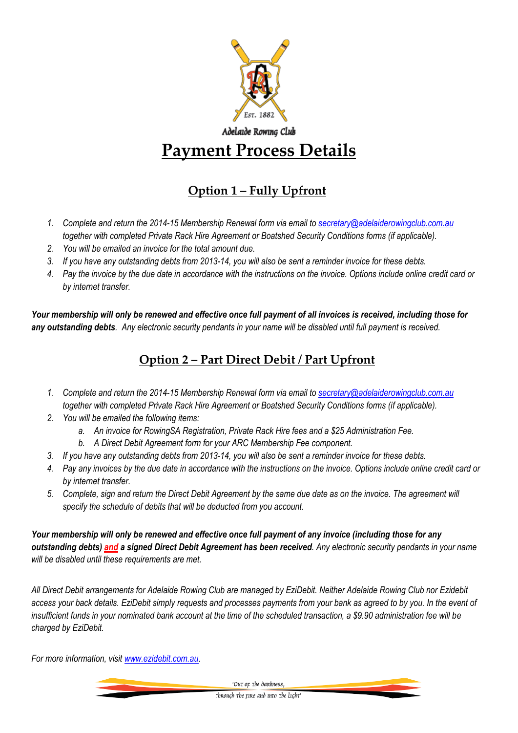

# Adelaide Rowing Club **Payment Process Details**

# **Option 1 – Fully Upfront**

- *1. Complete and return the 2014-15 Membership Renewal form via email to [secretary@adelaiderowingclub.com.au](mailto:secretary@adelaiderowingclub.com.au) together with completed Private Rack Hire Agreement or Boatshed Security Conditions forms (if applicable).*
- *2. You will be emailed an invoice for the total amount due.*
- *3. If you have any outstanding debts from 2013-14, you will also be sent a reminder invoice for these debts.*
- *4. Pay the invoice by the due date in accordance with the instructions on the invoice. Options include online credit card or by internet transfer.*

*Your membership will only be renewed and effective once full payment of all invoices is received, including those for any outstanding debts. Any electronic security pendants in your name will be disabled until full payment is received.*

### **Option 2 – Part Direct Debit / Part Upfront**

- *1. Complete and return the 2014-15 Membership Renewal form via email to [secretary@adelaiderowingclub.com.au](mailto:secretary@adelaiderowingclub.com.au) together with completed Private Rack Hire Agreement or Boatshed Security Conditions forms (if applicable).*
- *2. You will be emailed the following items:*
	- *a. An invoice for RowingSA Registration, Private Rack Hire fees and a \$25 Administration Fee.*
	- *b. A Direct Debit Agreement form for your ARC Membership Fee component.*
- *3. If you have any outstanding debts from 2013-14, you will also be sent a reminder invoice for these debts.*
- *4. Pay any invoices by the due date in accordance with the instructions on the invoice. Options include online credit card or by internet transfer.*
- *5. Complete, sign and return the Direct Debit Agreement by the same due date as on the invoice. The agreement will specify the schedule of debits that will be deducted from you account.*

*Your membership will only be renewed and effective once full payment of any invoice (including those for any outstanding debts) and a signed Direct Debit Agreement has been received. Any electronic security pendants in your name will be disabled until these requirements are met.*

*All Direct Debit arrangements for Adelaide Rowing Club are managed by EziDebit. Neither Adelaide Rowing Club nor Ezidebit access your back details. EziDebit simply requests and processes payments from your bank as agreed to by you. In the event of insufficient funds in your nominated bank account at the time of the scheduled transaction, a \$9.90 administration fee will be charged by EziDebit.* 

*For more information, visit [www.ezidebit.com.au.](http://www.ezidebit.com.au/)*

'Out or the dankness.

through the rire and into the light'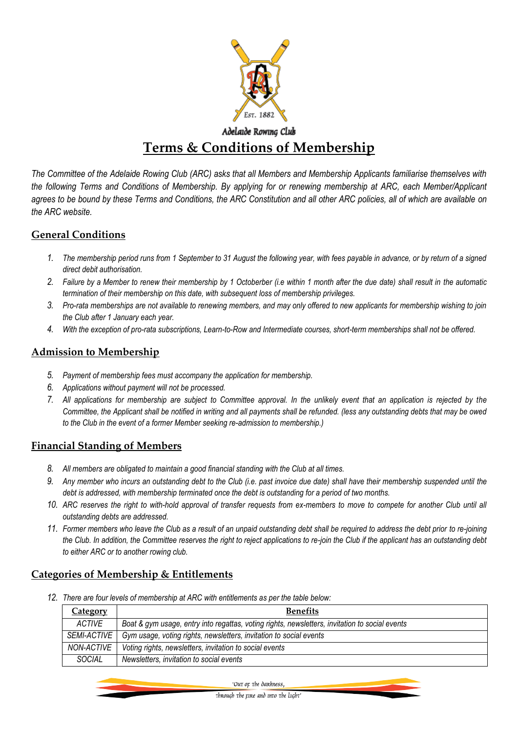

### Adelaide Rowing Club **Terms & Conditions of Membership**

*The Committee of the Adelaide Rowing Club (ARC) asks that all Members and Membership Applicants familiarise themselves with the following Terms and Conditions of Membership. By applying for or renewing membership at ARC, each Member/Applicant agrees to be bound by these Terms and Conditions, the ARC Constitution and all other ARC policies, all of which are available on the ARC website.*

#### **General Conditions**

- *1. The membership period runs from 1 September to 31 August the following year, with fees payable in advance, or by return of a signed direct debit authorisation.*
- *2. Failure by a Member to renew their membership by 1 Octoberber (i.e within 1 month after the due date) shall result in the automatic termination of their membership on this date, with subsequent loss of membership privileges.*
- *3. Pro-rata memberships are not available to renewing members, and may only offered to new applicants for membership wishing to join the Club after 1 January each year.*
- *4. With the exception of pro-rata subscriptions, Learn-to-Row and Intermediate courses, short-term memberships shall not be offered.*

#### **Admission to Membership**

- *5. Payment of membership fees must accompany the application for membership.*
- *6. Applications without payment will not be processed.*
- *7. All applications for membership are subject to Committee approval. In the unlikely event that an application is rejected by the Committee, the Applicant shall be notified in writing and all payments shall be refunded. (less any outstanding debts that may be owed to the Club in the event of a former Member seeking re-admission to membership.)*

#### **Financial Standing of Members**

- *8. All members are obligated to maintain a good financial standing with the Club at all times.*
- *9. Any member who incurs an outstanding debt to the Club (i.e. past invoice due date) shall have their membership suspended until the debt is addressed, with membership terminated once the debt is outstanding for a period of two months.*
- *10. ARC reserves the right to with-hold approval of transfer requests from ex-members to move to compete for another Club until all outstanding debts are addressed.*
- *11. Former members who leave the Club as a result of an unpaid outstanding debt shall be required to address the debt prior to re-joining the Club. In addition, the Committee reserves the right to reject applications to re-join the Club if the applicant has an outstanding debt to either ARC or to another rowing club.*

#### **Categories of Membership & Entitlements**

*12. There are four levels of membership at ARC with entitlements as per the table below:*

| <u>Category</u> | <b>Benefits</b>                                                                                |
|-----------------|------------------------------------------------------------------------------------------------|
| <b>ACTIVE</b>   | Boat & gym usage, entry into regattas, voting rights, newsletters, invitation to social events |
| SEMI-ACTIVE     | Gym usage, voting rights, newsletters, invitation to social events                             |
| NON-ACTIVE      | Voting rights, newsletters, invitation to social events                                        |
| <b>SOCIAL</b>   | Newsletters, invitation to social events                                                       |

'Our or the dankness

through the rire and into the light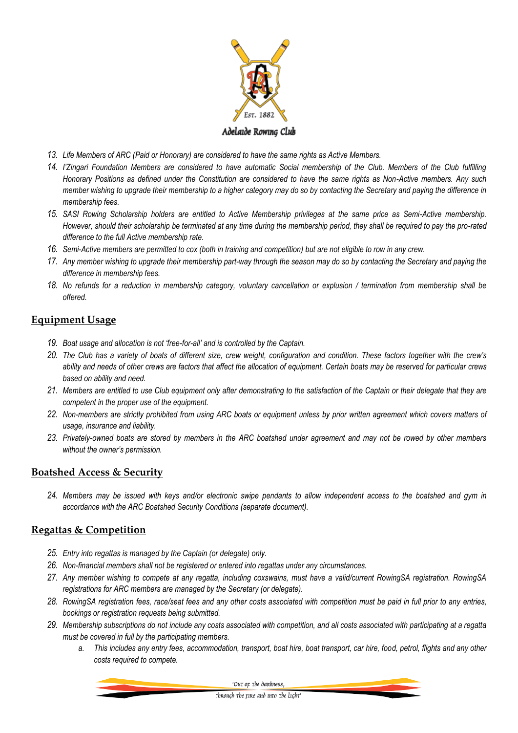

- *13. Life Members of ARC (Paid or Honorary) are considered to have the same rights as Active Members.*
- *14. I'Zingari Foundation Members are considered to have automatic Social membership of the Club. Members of the Club fulfilling Honorary Positions as defined under the Constitution are considered to have the same rights as Non-Active members. Any such member wishing to upgrade their membership to a higher category may do so by contacting the Secretary and paying the difference in membership fees.*
- *15. SASI Rowing Scholarship holders are entitled to Active Membership privileges at the same price as Semi-Active membership. However, should their scholarship be terminated at any time during the membership period, they shall be required to pay the pro-rated difference to the full Active membership rate.*
- *16. Semi-Active members are permitted to cox (both in training and competition) but are not eligible to row in any crew.*
- *17. Any member wishing to upgrade their membership part-way through the season may do so by contacting the Secretary and paying the difference in membership fees.*
- *18. No refunds for a reduction in membership category, voluntary cancellation or explusion / termination from membership shall be offered.*

#### **Equipment Usage**

- *19. Boat usage and allocation is not 'free-for-all' and is controlled by the Captain.*
- *20. The Club has a variety of boats of different size, crew weight, configuration and condition. These factors together with the crew's ability and needs of other crews are factors that affect the allocation of equipment. Certain boats may be reserved for particular crews based on ability and need.*
- *21. Members are entitled to use Club equipment only after demonstrating to the satisfaction of the Captain or their delegate that they are competent in the proper use of the equipment.*
- *22. Non-members are strictly prohibited from using ARC boats or equipment unless by prior written agreement which covers matters of usage, insurance and liability.*
- *23. Privately-owned boats are stored by members in the ARC boatshed under agreement and may not be rowed by other members without the owner's permission.*

#### **Boatshed Access & Security**

*24. Members may be issued with keys and/or electronic swipe pendants to allow independent access to the boatshed and gym in accordance with the ARC Boatshed Security Conditions (separate document).*

#### **Regattas & Competition**

- *25. Entry into regattas is managed by the Captain (or delegate) only.*
- *26. Non-financial members shall not be registered or entered into regattas under any circumstances.*
- *27. Any member wishing to compete at any regatta, including coxswains, must have a valid/current RowingSA registration. RowingSA registrations for ARC members are managed by the Secretary (or delegate).*
- *28. RowingSA registration fees, race/seat fees and any other costs associated with competition must be paid in full prior to any entries, bookings or registration requests being submitted.*
- *29. Membership subscriptions do not include any costs associated with competition, and all costs associated with participating at a regatta must be covered in full by the participating members.* 
	- *a. This includes any entry fees, accommodation, transport, boat hire, boat transport, car hire, food, petrol, flights and any other costs required to compete.*

'Out op the dankness,

through the rire and into the light